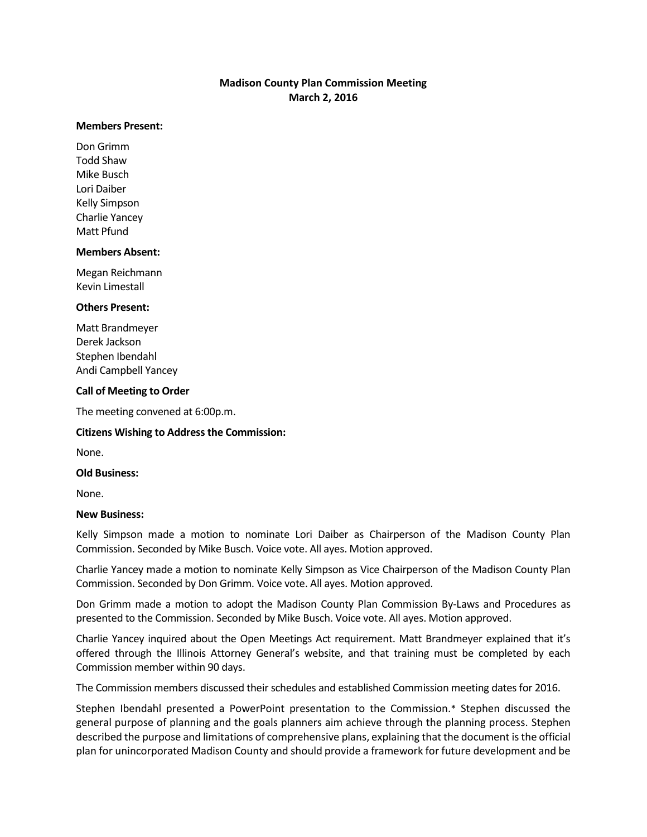# **Madison County Plan Commission Meeting March 2, 2016**

### **Members Present:**

Don Grimm Todd Shaw Mike Busch Lori Daiber Kelly Simpson Charlie Yancey Matt Pfund

### **Members Absent:**

Megan Reichmann Kevin Limestall

### **Others Present:**

Matt Brandmeyer Derek Jackson Stephen Ibendahl Andi Campbell Yancey

### **Call of Meeting to Order**

The meeting convened at 6:00p.m.

### **Citizens Wishing to Address the Commission:**

None.

### **Old Business:**

None.

### **New Business:**

Kelly Simpson made a motion to nominate Lori Daiber as Chairperson of the Madison County Plan Commission. Seconded by Mike Busch. Voice vote. All ayes. Motion approved.

Charlie Yancey made a motion to nominate Kelly Simpson as Vice Chairperson of the Madison County Plan Commission. Seconded by Don Grimm. Voice vote. All ayes. Motion approved.

Don Grimm made a motion to adopt the Madison County Plan Commission By-Laws and Procedures as presented to the Commission. Seconded by Mike Busch. Voice vote. All ayes. Motion approved.

Charlie Yancey inquired about the Open Meetings Act requirement. Matt Brandmeyer explained that it's offered through the Illinois Attorney General's website, and that training must be completed by each Commission member within 90 days.

The Commission members discussed their schedules and established Commission meeting dates for 2016.

Stephen Ibendahl presented a PowerPoint presentation to the Commission.\* Stephen discussed the general purpose of planning and the goals planners aim achieve through the planning process. Stephen described the purpose and limitations of comprehensive plans, explaining that the document is the official plan for unincorporated Madison County and should provide a framework for future development and be